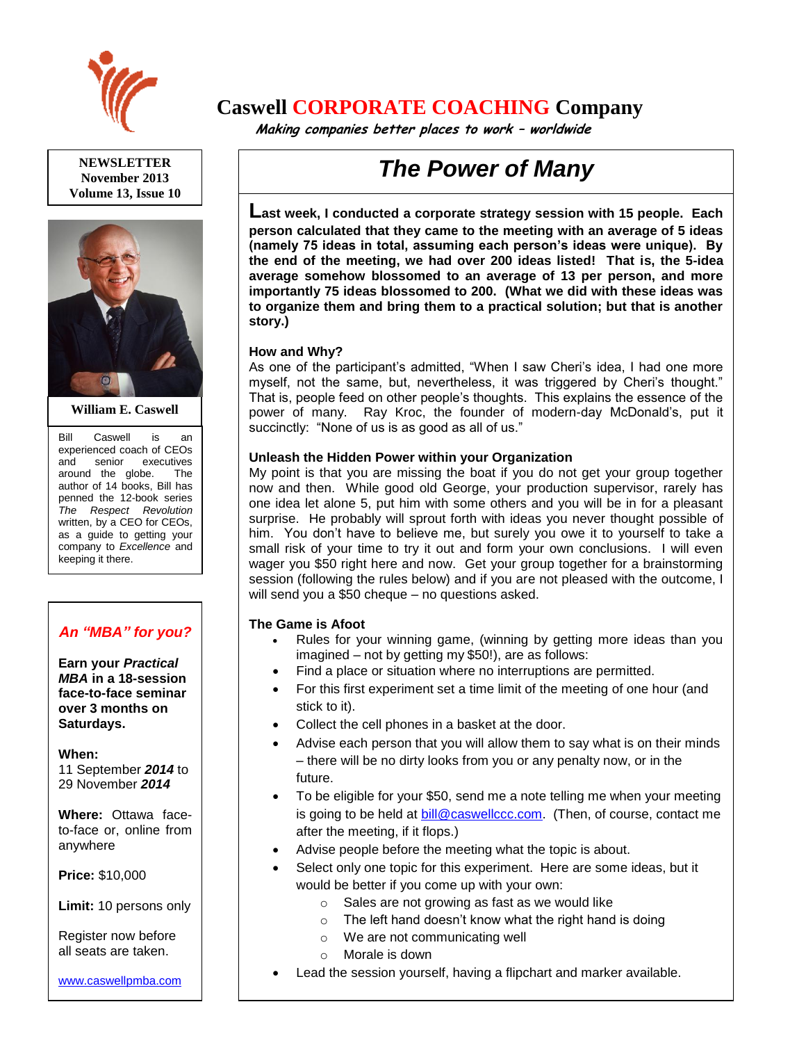

**NEWSLETTER November 2013 Volume 13, Issue 10**



**William E. Caswell**

Bill Caswell is an experienced coach of CEOs<br>and senior executives executives around the globe. The author of 14 books, Bill has penned the 12-book series *The Respect Revolution* written, by a CEO for CEOs, as a guide to getting your company to *Excellence* and keeping it there.

### *An "MBA" for you?*

**Earn your** *Practical MBA* **in a 18-session face-to-face seminar over 3 months on Saturdays.**

**When:** 

11 September *2014* to 29 November *2014*

**Where:** Ottawa faceto-face or, online from anywhere

**Price:** \$10,000

**Limit:** 10 persons only

Register now before all seats are taken.

[www.caswellpmba.com](http://www.caswellpmba.com/)

## **Caswell CORPORATE COACHING Company**

 **Making companies better places to work – worldwide**

# *The Power of Many*

**Last week, I conducted a corporate strategy session with 15 people. Each person calculated that they came to the meeting with an average of 5 ideas (namely 75 ideas in total, assuming each person's ideas were unique). By the end of the meeting, we had over 200 ideas listed! That is, the 5-idea average somehow blossomed to an average of 13 per person, and more importantly 75 ideas blossomed to 200. (What we did with these ideas was to organize them and bring them to a practical solution; but that is another story.)** 

#### **How and Why?**

As one of the participant's admitted, "When I saw Cheri's idea, I had one more myself, not the same, but, nevertheless, it was triggered by Cheri's thought." That is, people feed on other people's thoughts. This explains the essence of the power of many. Ray Kroc, the founder of modern-day McDonald's, put it succinctly: "None of us is as good as all of us."

#### **Unleash the Hidden Power within your Organization**

My point is that you are missing the boat if you do not get your group together now and then. While good old George, your production supervisor, rarely has one idea let alone 5, put him with some others and you will be in for a pleasant surprise. He probably will sprout forth with ideas you never thought possible of him. You don't have to believe me, but surely you owe it to yourself to take a small risk of your time to try it out and form your own conclusions. I will even wager you \$50 right here and now. Get your group together for a brainstorming session (following the rules below) and if you are not pleased with the outcome, I will send you a \$50 cheque – no questions asked.

#### **The Game is Afoot**

- Rules for your winning game, (winning by getting more ideas than you imagined – not by getting my \$50!), are as follows:
- Find a place or situation where no interruptions are permitted.
- For this first experiment set a time limit of the meeting of one hour (and stick to it).
- Collect the cell phones in a basket at the door.
- Advise each person that you will allow them to say what is on their minds – there will be no dirty looks from you or any penalty now, or in the future.
- To be eligible for your \$50, send me a note telling me when your meeting is going to be held at [bill@caswellccc.com.](mailto:bill@caswellccc.com) (Then, of course, contact me after the meeting, if it flops.)
- Advise people before the meeting what the topic is about.
- Select only one topic for this experiment. Here are some ideas, but it would be better if you come up with your own:
	- o Sales are not growing as fast as we would like
	- $\circ$  The left hand doesn't know what the right hand is doing
	- o We are not communicating well
	- o Morale is down
- Lead the session yourself, having a flipchart and marker available.